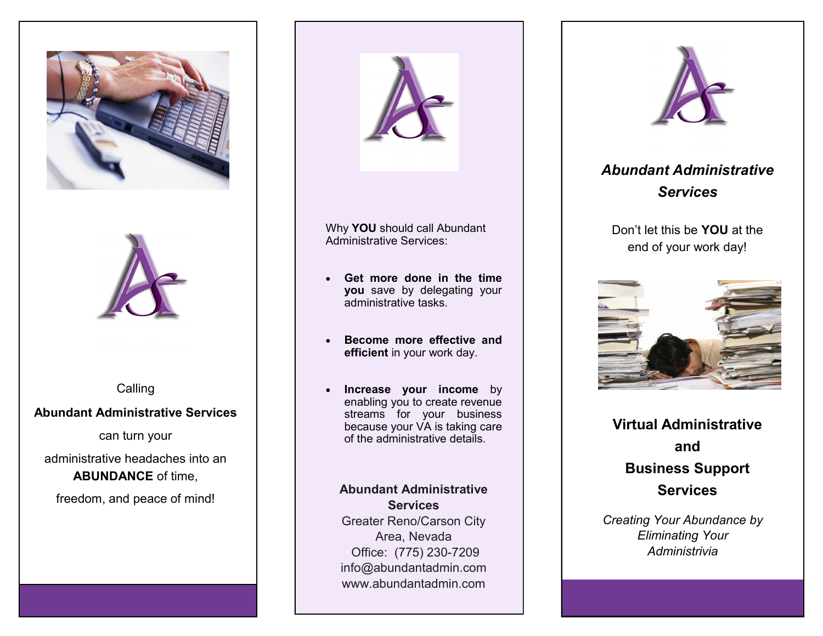



Calling

# **Abundant Administrative Services**

can turn your

administrative headaches into an **ABUNDANCE** of time,

freedom, and peace of mind!



Why **YOU** should call Abundant Administrative Services:

- **Get more done in the time you** save by delegating your administrative tasks.
- **Become more effective and efficient** in your work day.
- **Increase your income** by enabling you to create revenue streams for your business because your VA is taking care of the administrative details.

### **Abundant Administrative Services**

Greater Reno/Carson City Area, Nevada Office: (775) 230-7209 info@abundantadmin.com www.abundantadmin.com



*Abundant Administrative Services*

Don't let this be **YOU** at the end of your work day!



**Virtual Administrative and Business Support Services**

*Creating Your Abundance by Eliminating Your Administrivia*